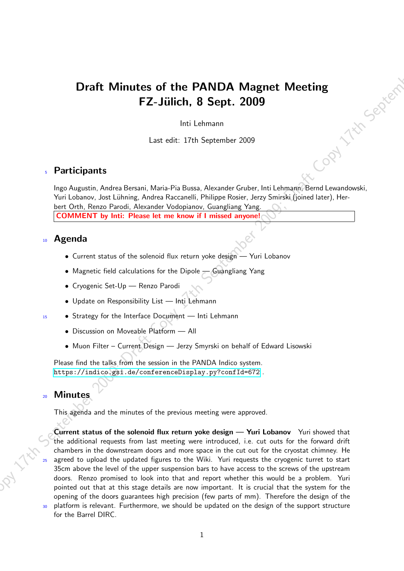## Draft Minutes of the PANDA Magnet Meeting<br>FZ-Jülich, 8 Sept. 2009<br>Inti Lehmann<br>Last edit: 17th September 2000<br>Cipants FZ-Jülich, 8 Sept. 2009

Inti Lehmann

Last edit: 17th September 2009

## <sup>5</sup> Participants

Ingo Augustin, Andrea Bersani, Maria-Pia Bussa, Alexander Gruber, Inti Lehmann, Bernd Lewandowski, Yuri Lobanov, Jost Lühning, Andrea Raccanelli, Philippe Rosier, Jerzy Smirski (joined later), Herbert Orth, Renzo Parodi, Alexander Vodopianov, Guangliang Yang. COMMENT by Inti: Please let me know if I missed anyone!

## <sup>10</sup> Agenda

- Current status of the solenoid flux return yoke design Yuri Lobanov
- Magnetic field calculations for the Dipole Guangliang Yang
- Cryogenic Set-Up Renzo Parodi
- Update on Responsibility List Inti Lehmann
- <sup>15</sup> Strategy for the Interface Document Inti Lehmann
	- Discussion on Moveable Platform All
	- Muon Filter Current Design Jerzy Smyrski on behalf of Edward Lisowski

Please find the talks from the session in the PANDA Indico system. <https://indico.gsi.de/conferenceDisplay.py?confId=672> .

## **Minutes**

This agenda and the minutes of the previous meeting were approved.

**Draft Minutes of the PANDA Magnet Meeting**<br> **FZ-Jülich, 8 Sept. 2009**<br>
Initialismum<br>
Later of the 17th September 2009<br>
And Lemmann<br>
User of the 17th September 2009<br>
Yali Lemmann<br>
Yali Lemmann September 2009; Draft Copy 1 Current status of the solenoid flux return yoke design — Yuri Lobanov Yuri showed that the additional requests from last meeting were introduced, i.e. cut outs for the forward drift chambers in the downstream doors and more space in the cut out for the cryostat chimney. He agreed to upload the updated figures to the Wiki. Yuri requests the cryogenic turret to start 35cm above the level of the upper suspension bars to have access to the screws of the upstream doors. Renzo promised to look into that and report whether this would be a problem. Yuri pointed out that at this stage details are now important. It is crucial that the system for the opening of the doors guarantees high precision (few parts of mm). Therefore the design of the <sup>30</sup> platform is relevant. Furthermore, we should be updated on the design of the support structure

for the Barrel DIRC.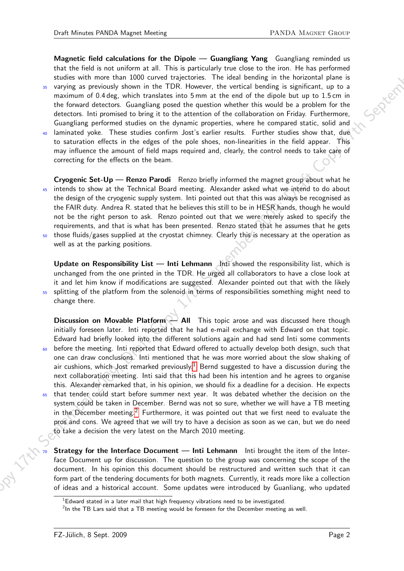Magnetic field calculations for the Dipole — Guangliang Yang Guangliang reminded us that the field is not uniform at all. This is particularly true close to the iron. He has performed studies with more than 1000 curved trajectories. The ideal bending in the horizontal plane is <sup>35</sup> varying as previously shown in the TDR. However, the vertical bending is significant, up to a maximum of 0.4 deg, which translates into 5 mm at the end of the dipole but up to 1.5 cm in the forward detectors. Guangliang posed the question whether this would be a problem for the detectors. Inti promised to bring it to the attention of the collaboration on Friday. Furthermore,

Guangliang performed studies on the dynamic properties, where he compared static, solid and <sup>40</sup> laminated yoke. These studies confirm Jost's earlier results. Further studies show that, due to saturation effects in the edges of the pole shoes, non-linearities in the field appear. This may influence the amount of field maps required and, clearly, the control needs to take care of correcting for the effects on the beam.

Cryogenic Set-Up — Renzo Parodi Renzo briefly informed the magnet group about what he intends to show at the Technical Board meeting. Alexander asked what we intend to do about the design of the cryogenic supply system. Inti pointed out that this was always be recognised as the FAIR duty. Andrea R. stated that he believes this still to be in HESR hands, though he would not be the right person to ask. Renzo pointed out that we were merely asked to specify the requirements, and that is what has been presented. Renzo stated that he assumes that he gets those fluids/gases supplied at the cryostat chimney. Clearly this is necessary at the operation as

well as at the parking positions.

Update on Responsibility List — Inti Lehmann Inti showed the responsibility list, which is unchanged from the one printed in the TDR. He urged all collaborators to have a close look at it and let him know if modifications are suggested. Alexander pointed out that with the likely <sup>55</sup> splitting of the platform from the solenoid in terms of responsibilities something might need to change there.

Magnetic field racktablenos for the Diplote — Giangling Yong Colorigity crimination and the initial is not colored by the colorigity of color the line of the set of the set of the set of the set of the set of the set of t Discussion on Movable Platform — All This topic arose and was discussed here though initially foreseen later. Inti reported that he had e-mail exchange with Edward on that topic. Edward had briefly looked into the different solutions again and had send Inti some comments before the meeting. Inti reported that Edward offered to actually develop both design, such that one can draw conclusions. Inti mentioned that he was more worried about the slow shaking of air cushions, which Jost remarked previously.<sup>[1](#page-1-0)</sup> Bernd suggested to have a discussion during the next collaboration meeting. Inti said that this had been his intention and he agrees to organise this. Alexander remarked that, in his opinion, we should fix a deadline for a decision. He expects that tender could start before summer next year. It was debated whether the decision on the system could be taken in December. Bernd was not so sure, whether we will have a TB meeting in the December meeting.<sup>[2](#page-1-1)</sup> Furthermore, it was pointed out that we first need to evaluate the pros and cons. We agreed that we will try to have a decision as soon as we can, but we do need to take a decision the very latest on the March 2010 meeting.

**Strategy for the Interface Document — Inti Lehmann** Inti brought the item of the Interface Document up for discussion. The question to the group was concerning the scope of the document. In his opinion this document should be restructured and written such that it can form part of the tendering documents for both magnets. Currently, it reads more like a collection of ideas and a historical account. Some updates were introduced by Guanliang, who updated

<span id="page-1-0"></span> $1$ Edward stated in a later mail that high frequency vibrations need to be investigated.

<span id="page-1-1"></span> $^{2}$ In the TB Lars said that a TB meeting would be foreseen for the December meeting as well.